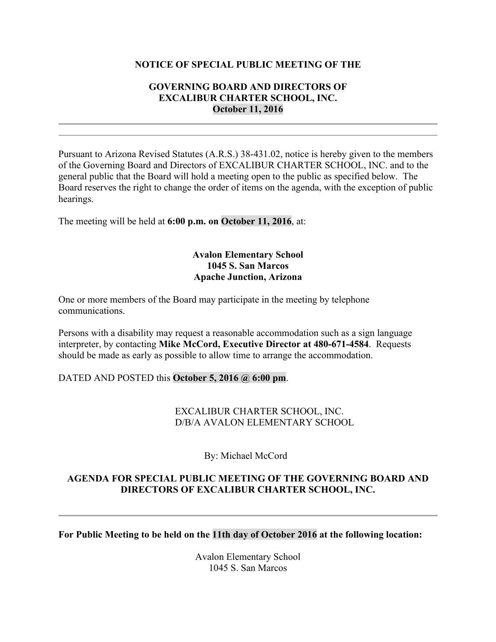#### **NOTICE OF SPECIAL PUBLIC MEETING OF THE**

#### **GOVERNING BOARD AND DIRECTORS OF EXCALIBUR CHARTER SCHOOL, INC. October 11, 2016**

Pursuant to Arizona Revised Statutes (A.R.S.) 38-431.02, notice is hereby given to the members of the Governing Board and Directors of EXCALIBUR CHARTER SCHOOL, INC. and to the general public that the Board will hold a meeting open to the public as specified below. The Board reserves the right to change the order of items on the agenda, with the exception of public hearings.

The meeting will be held at **6:00 p.m. on October 11, 2016**, at:

# **Avalon Elementary School 1045 S. San Marcos Apache Junction, Arizona**

One or more members of the Board may participate in the meeting by telephone communications.

Persons with a disability may request a reasonable accommodation such as a sign language interpreter, by contacting **Mike McCord, Executive Director at 480-671-4584**. Requests should be made as early as possible to allow time to arrange the accommodation.

# DATED AND POSTED this **October 5, 2016 @ 6:00 pm**.

EXCALIBUR CHARTER SCHOOL, INC. D/B/A AVALON ELEMENTARY SCHOOL

By: Michael McCord

# **AGENDA FOR SPECIAL PUBLIC MEETING OF THE GOVERNING BOARD AND DIRECTORS OF EXCALIBUR CHARTER SCHOOL, INC.**

**For Public Meeting to be held on the 11th day of October 2016 at the following location:**

Avalon Elementary School 1045 S. San Marcos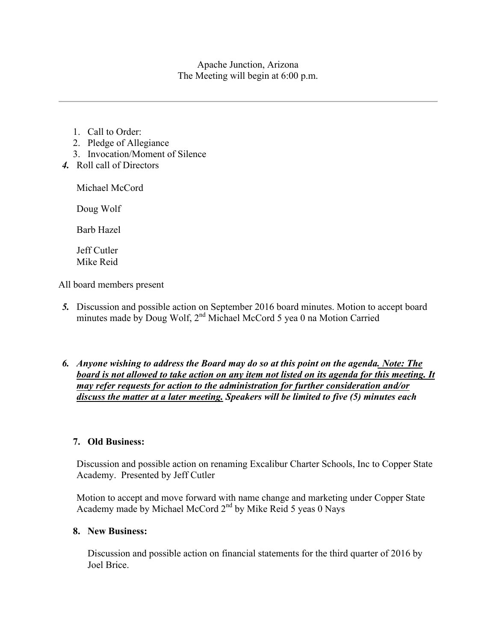Apache Junction, Arizona The Meeting will begin at 6:00 p.m.

- 1. Call to Order:
- 2. Pledge of Allegiance
- 3. Invocation/Moment of Silence
- *4.* Roll call of Directors

Michael McCord

Doug Wolf

Barb Hazel

Jeff Cutler Mike Reid

All board members present

- *5.* Discussion and possible action on September 2016 board minutes. Motion to accept board minutes made by Doug Wolf, 2<sup>nd</sup> Michael McCord 5 yea 0 na Motion Carried
- *6. Anyone wishing to address the Board may do so at this point on the agenda. Note: The board is not allowed to take action on any item not listed on its agenda for this meeting. It may refer requests for action to the administration for further consideration and/or discuss the matter at a later meeting. Speakers will be limited to five (5) minutes each*

# **7. Old Business:**

Discussion and possible action on renaming Excalibur Charter Schools, Inc to Copper State Academy. Presented by Jeff Cutler

Motion to accept and move forward with name change and marketing under Copper State Academy made by Michael McCord 2<sup>nd</sup> by Mike Reid 5 yeas 0 Nays

# **8. New Business:**

Discussion and possible action on financial statements for the third quarter of 2016 by Joel Brice.